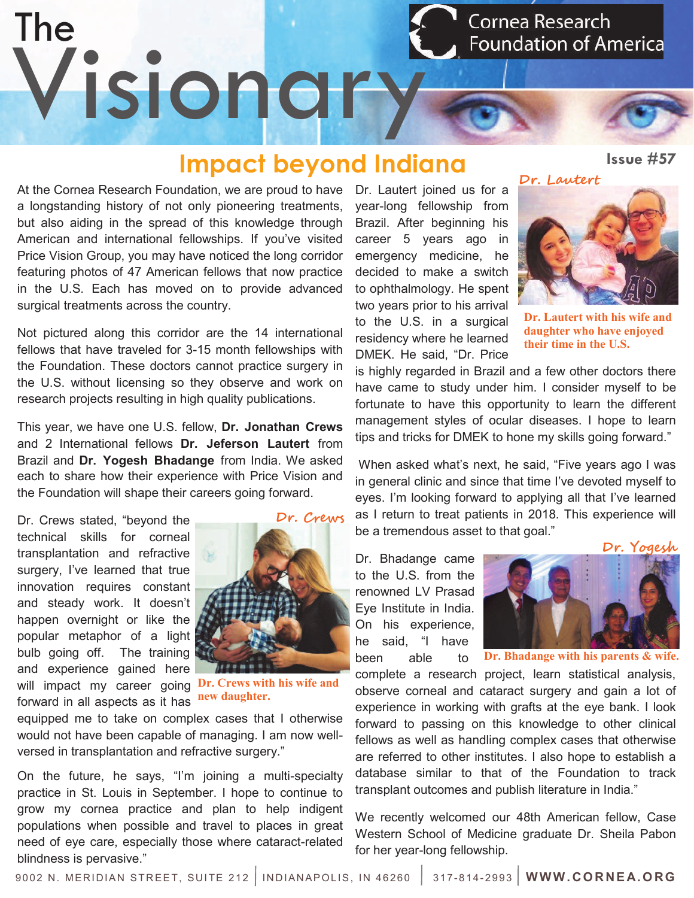The Cornea Research **Foundation of America** Visionary

## **Impact beyond Indiana**

At the Cornea Research Foundation, we are proud to have a longstanding history of not only pioneering treatments, but also aiding in the spread of this knowledge through American and international fellowships. If you've visited Price Vision Group, you may have noticed the long corridor featuring photos of 47 American fellows that now practice in the U.S. Each has moved on to provide advanced surgical treatments across the country.

Not pictured along this corridor are the 14 international fellows that have traveled for 3-15 month fellowships with the Foundation. These doctors cannot practice surgery in the U.S. without licensing so they observe and work on research projects resulting in high quality publications.

This year, we have one U.S. fellow, **Dr. Jonathan Crews**  and 2 International fellows **Dr. Jeferson Lautert** from Brazil and **Dr. Yogesh Bhadange** from India. We asked each to share how their experience with Price Vision and the Foundation will shape their careers going forward.

Dr. Crews stated, "beyond the technical skills for corneal transplantation and refractive surgery, I've learned that true innovation requires constant and steady work. It doesn't happen overnight or like the popular metaphor of a light bulb going off. The training and experience gained here will impact my career going **Dr. Crews with his wife and**  forward in all aspects as it has



**new daughter.**

equipped me to take on complex cases that I otherwise would not have been capable of managing. I am now wellversed in transplantation and refractive surgery."

On the future, he says, "I'm joining a multi-specialty practice in St. Louis in September. I hope to continue to grow my cornea practice and plan to help indigent populations when possible and travel to places in great need of eye care, especially those where cataract-related blindness is pervasive."

Dr. Lautert joined us for a year-long fellowship from Brazil. After beginning his career 5 years ago in emergency medicine, he decided to make a switch to ophthalmology. He spent two years prior to his arrival to the U.S. in a surgical residency where he learned DMEK. He said, "Dr. Price





**Dr. Lautert with his wife and daughter who have enjoyed their time in the U.S.**

is highly regarded in Brazil and a few other doctors there have came to study under him. I consider myself to be fortunate to have this opportunity to learn the different management styles of ocular diseases. I hope to learn tips and tricks for DMEK to hone my skills going forward."

When asked what's next, he said, "Five years ago I was in general clinic and since that time I've devoted myself to eyes. I'm looking forward to applying all that I've learned as I return to treat patients in 2018. This experience will be a tremendous asset to that goal."

Dr. Bhadange came to the U.S. from the renowned LV Prasad Eye Institute in India. On his experience, he said, "I have been able to



 **Dr. Bhadange with his parents & wife.**

complete a research project, learn statistical analysis, observe corneal and cataract surgery and gain a lot of experience in working with grafts at the eye bank. I look forward to passing on this knowledge to other clinical fellows as well as handling complex cases that otherwise are referred to other institutes. I also hope to establish a database similar to that of the Foundation to track transplant outcomes and publish literature in India."

We recently welcomed our 48th American fellow, Case Western School of Medicine graduate Dr. Sheila Pabon for her year-long fellowship.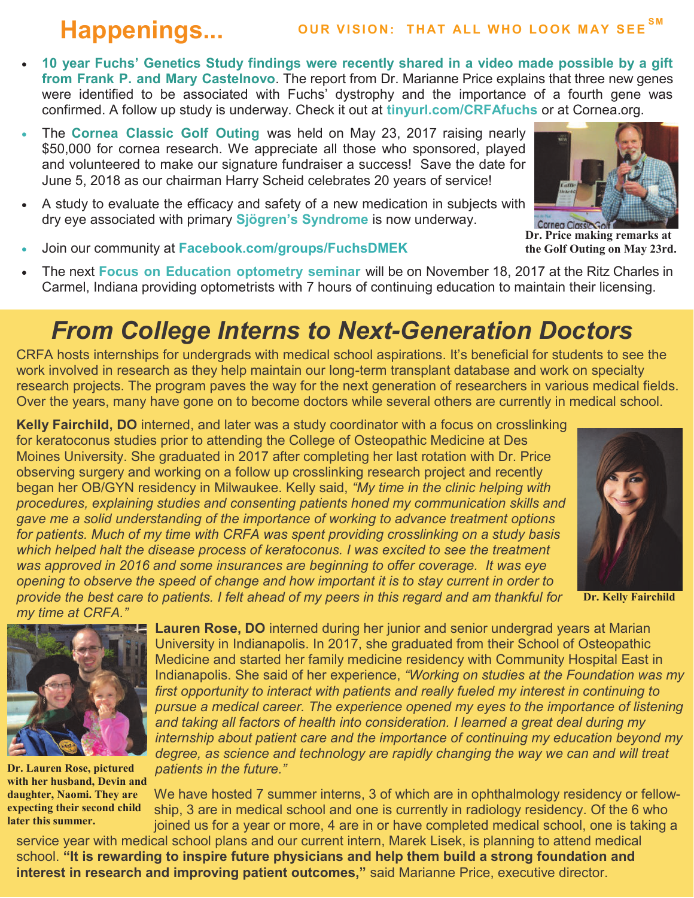- **10 year Fuchs' Genetics Study findings were recently shared in a video made possible by a gift from Frank P. and Mary Castelnovo**. The report from Dr. Marianne Price explains that three new genes were identified to be associated with Fuchs' dystrophy and the importance of a fourth gene was confirmed. A follow up study is underway. Check it out at **tinyurl.com/CRFAfuchs** or at Cornea.org.
- The **Cornea Classic Golf Outing** was held on May 23, 2017 raising nearly \$50,000 for cornea research. We appreciate all those who sponsored, played and volunteered to make our signature fundraiser a success! Save the date for June 5, 2018 as our chairman Harry Scheid celebrates 20 years of service!
- A study to evaluate the efficacy and safety of a new medication in subjects with dry eye associated with primary **Sjögren's Syndrome** is now underway.



**Dr. Price making remarks at the Golf Outing on May 23rd.**

- Join our community at **Facebook.com/groups/FuchsDMEK**
- The next **Focus on Education optometry seminar** will be on November 18, 2017 at the Ritz Charles in Carmel, Indiana providing optometrists with 7 hours of continuing education to maintain their licensing.

## *From College Interns to Next-Generation Doctors*

CRFA hosts internships for undergrads with medical school aspirations. It's beneficial for students to see the work involved in research as they help maintain our long-term transplant database and work on specialty research projects. The program paves the way for the next generation of researchers in various medical fields. Over the years, many have gone on to become doctors while several others are currently in medical school.

**Kelly Fairchild, DO** interned, and later was a study coordinator with a focus on crosslinking for keratoconus studies prior to attending the College of Osteopathic Medicine at Des Moines University. She graduated in 2017 after completing her last rotation with Dr. Price observing surgery and working on a follow up crosslinking research project and recently began her OB/GYN residency in Milwaukee. Kelly said, *"My time in the clinic helping with procedures, explaining studies and consenting patients honed my communication skills and gave me a solid understanding of the importance of working to advance treatment options for patients. Much of my time with CRFA was spent providing crosslinking on a study basis which helped halt the disease process of keratoconus. I was excited to see the treatment was approved in 2016 and some insurances are beginning to offer coverage. It was eye opening to observe the speed of change and how important it is to stay current in order to provide the best care to patients. I felt ahead of my peers in this regard and am thankful for my time at CRFA."* 



**Dr. Kelly Fairchild**



**Dr. Lauren Rose, pictured with her husband, Devin and daughter, Naomi. They are expecting their second child later this summer.**

**Lauren Rose, DO** interned during her junior and senior undergrad years at Marian University in Indianapolis. In 2017, she graduated from their School of Osteopathic Medicine and started her family medicine residency with Community Hospital East in Indianapolis. She said of her experience, *"Working on studies at the Foundation was my first opportunity to interact with patients and really fueled my interest in continuing to pursue a medical career. The experience opened my eyes to the importance of listening and taking all factors of health into consideration. I learned a great deal during my internship about patient care and the importance of continuing my education beyond my degree, as science and technology are rapidly changing the way we can and will treat patients in the future."*

We have hosted 7 summer interns, 3 of which are in ophthalmology residency or fellowship, 3 are in medical school and one is currently in radiology residency. Of the 6 who joined us for a year or more, 4 are in or have completed medical school, one is taking a

service year with medical school plans and our current intern, Marek Lisek, is planning to attend medical school. **"It is rewarding to inspire future physicians and help them build a strong foundation and interest in research and improving patient outcomes,"** said Marianne Price, executive director.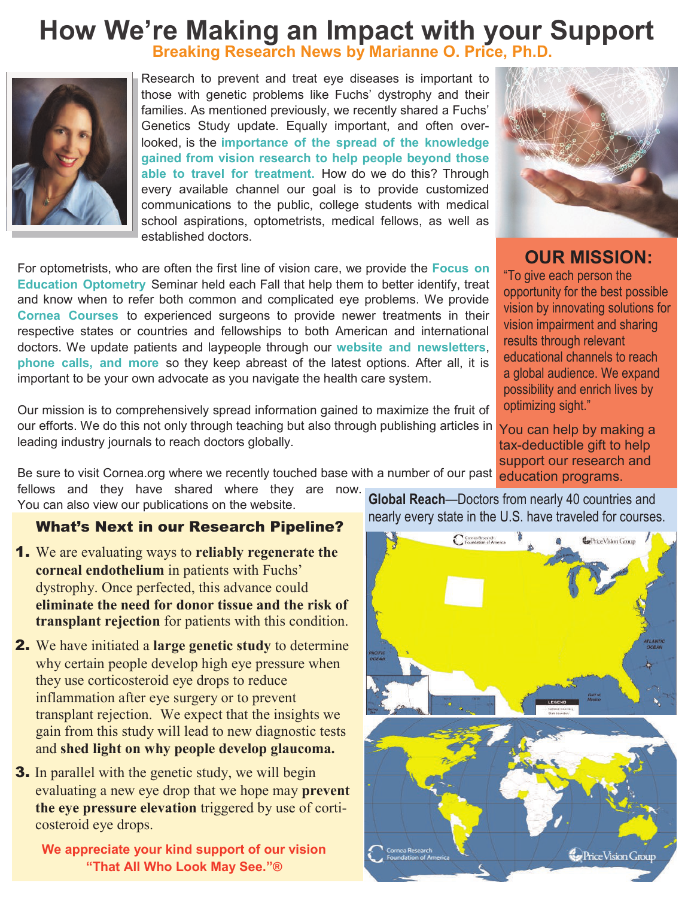### **Breaking Research News by Marianne O. Price, Ph.D. How We're Making an Impact with your Support**



Research to prevent and treat eye diseases is important to those with genetic problems like Fuchs' dystrophy and their families. As mentioned previously, we recently shared a Fuchs' Genetics Study update. Equally important, and often overlooked, is the **importance of the spread of the knowledge gained from vision research to help people beyond those able to travel for treatment.** How do we do this? Through every available channel our goal is to provide customized communications to the public, college students with medical school aspirations, optometrists, medical fellows, as well as established doctors.

For optometrists, who are often the first line of vision care, we provide the **Focus on Education Optometry** Seminar held each Fall that help them to better identify, treat and know when to refer both common and complicated eye problems. We provide **Cornea Courses** to experienced surgeons to provide newer treatments in their respective states or countries and fellowships to both American and international doctors. We update patients and laypeople through our **website and newsletters**, **phone calls, and more** so they keep abreast of the latest options. After all, it is important to be your own advocate as you navigate the health care system.

Our mission is to comprehensively spread information gained to maximize the fruit of our efforts. We do this not only through teaching but also through publishing articles in leading industry journals to reach doctors globally.

Be sure to visit Cornea.org where we recently touched base with a number of our past education programs.

fellows and they have shared where they are now. You can also view our publications on the website.

- 1. We are evaluating ways to **reliably regenerate the corneal endothelium** in patients with Fuchs' dystrophy. Once perfected, this advance could **eliminate the need for donor tissue and the risk of transplant rejection** for patients with this condition.
- 2. We have initiated a **large genetic study** to determine why certain people develop high eye pressure when they use corticosteroid eye drops to reduce inflammation after eye surgery or to prevent transplant rejection. We expect that the insights we gain from this study will lead to new diagnostic tests and **shed light on why people develop glaucoma.**
- **3.** In parallel with the genetic study, we will begin evaluating a new eye drop that we hope may **prevent the eye pressure elevation** triggered by use of corticosteroid eye drops.

**We appreciate your kind support of our vision "That All Who Look May See."®**

**Global Reach**—Doctors from nearly 40 countries and





**OUR MISSION:**

"To give each person the opportunity for the best possible vision by innovating solutions for vision impairment and sharing results through relevant educational channels to reach a global audience. We expand possibility and enrich lives by optimizing sight."

You can help by making a tax-deductible gift to help support our research and